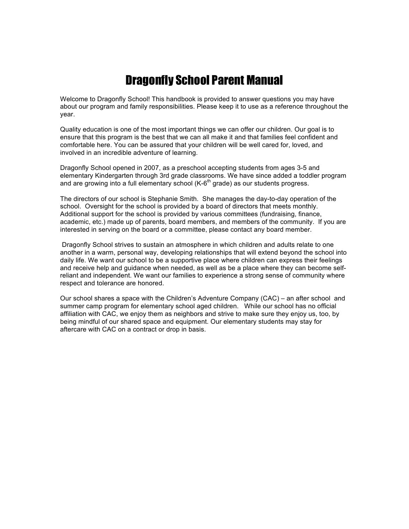## Dragonfly School Parent Manual

Welcome to Dragonfly School! This handbook is provided to answer questions you may have about our program and family responsibilities. Please keep it to use as a reference throughout the year.

Quality education is one of the most important things we can offer our children. Our goal is to ensure that this program is the best that we can all make it and that families feel confident and comfortable here. You can be assured that your children will be well cared for, loved, and involved in an incredible adventure of learning.

Dragonfly School opened in 2007, as a preschool accepting students from ages 3-5 and elementary Kindergarten through 3rd grade classrooms. We have since added a toddler program and are growing into a full elementary school  $(K-6<sup>th</sup>$  grade) as our students progress.

The directors of our school is Stephanie Smith. She manages the day-to-day operation of the school. Oversight for the school is provided by a board of directors that meets monthly. Additional support for the school is provided by various committees (fundraising, finance, academic, etc.) made up of parents, board members, and members of the community. If you are interested in serving on the board or a committee, please contact any board member.

 Dragonfly School strives to sustain an atmosphere in which children and adults relate to one another in a warm, personal way, developing relationships that will extend beyond the school into daily life. We want our school to be a supportive place where children can express their feelings and receive help and guidance when needed, as well as be a place where they can become selfreliant and independent. We want our families to experience a strong sense of community where respect and tolerance are honored.

Our school shares a space with the Children's Adventure Company (CAC) – an after school and summer camp program for elementary school aged children. While our school has no official affiliation with CAC, we enjoy them as neighbors and strive to make sure they enjoy us, too, by being mindful of our shared space and equipment. Our elementary students may stay for aftercare with CAC on a contract or drop in basis.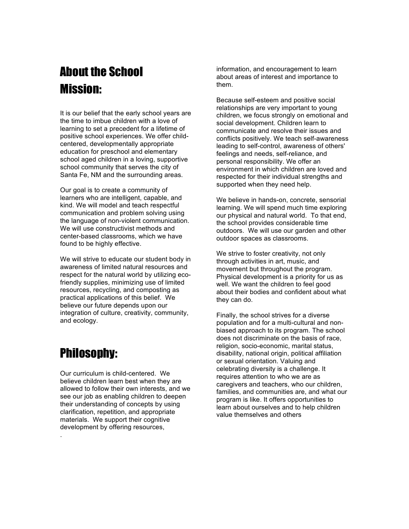# About the School Mission:

It is our belief that the early school years are the time to imbue children with a love of learning to set a precedent for a lifetime of positive school experiences. We offer childcentered, developmentally appropriate education for preschool and elementary school aged children in a loving, supportive school community that serves the city of Santa Fe, NM and the surrounding areas.

Our goal is to create a community of learners who are intelligent, capable, and kind. We will model and teach respectful communication and problem solving using the language of non-violent communication. We will use constructivist methods and center-based classrooms, which we have found to be highly effective.

We will strive to educate our student body in awareness of limited natural resources and respect for the natural world by utilizing ecofriendly supplies, minimizing use of limited resources, recycling, and composting as practical applications of this belief. We believe our future depends upon our integration of culture, creativity, community, and ecology.

## Philosophy:

.

Our curriculum is child-centered. We believe children learn best when they are allowed to follow their own interests, and we see our job as enabling children to deepen their understanding of concepts by using clarification, repetition, and appropriate materials. We support their cognitive development by offering resources,

information, and encouragement to learn about areas of interest and importance to them.

Because self-esteem and positive social relationships are very important to young children, we focus strongly on emotional and social development. Children learn to communicate and resolve their issues and conflicts positively. We teach self-awareness leading to self-control, awareness of others' feelings and needs, self-reliance, and personal responsibility. We offer an environment in which children are loved and respected for their individual strengths and supported when they need help.

We believe in hands-on, concrete, sensorial learning. We will spend much time exploring our physical and natural world. To that end, the school provides considerable time outdoors. We will use our garden and other outdoor spaces as classrooms.

We strive to foster creativity, not only through activities in art, music, and movement but throughout the program. Physical development is a priority for us as well. We want the children to feel good about their bodies and confident about what they can do.

Finally, the school strives for a diverse population and for a multi-cultural and nonbiased approach to its program. The school does not discriminate on the basis of race, religion, socio-economic, marital status, disability, national origin, political affiliation or sexual orientation. Valuing and celebrating diversity is a challenge. It requires attention to who we are as caregivers and teachers, who our children, families, and communities are, and what our program is like. It offers opportunities to learn about ourselves and to help children value themselves and others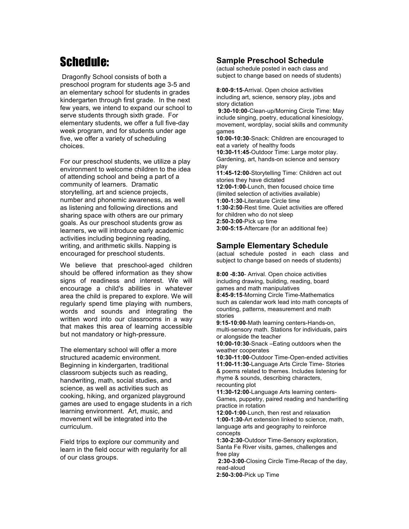# Schedule:

 Dragonfly School consists of both a preschool program for students age 3-5 and an elementary school for students in grades kindergarten through first grade. In the next few years, we intend to expand our school to serve students through sixth grade. For elementary students, we offer a full five-day week program, and for students under age five, we offer a variety of scheduling choices.

For our preschool students, we utilize a play environment to welcome children to the idea of attending school and being a part of a community of learners. Dramatic storytelling, art and science projects, number and phonemic awareness, as well as listening and following directions and sharing space with others are our primary goals. As our preschool students grow as learners, we will introduce early academic activities including beginning reading, writing, and arithmetic skills. Napping is encouraged for preschool students.

We believe that preschool-aged children should be offered information as they show signs of readiness and interest. We will encourage a child's abilities in whatever area the child is prepared to explore. We will regularly spend time playing with numbers, words and sounds and integrating the written word into our classrooms in a way that makes this area of learning accessible but not mandatory or high-pressure.

The elementary school will offer a more structured academic environment. Beginning in kindergarten, traditional classroom subjects such as reading, handwriting, math, social studies, and science, as well as activities such as cooking, hiking, and organized playground games are used to engage students in a rich learning environment. Art, music, and movement will be integrated into the curriculum.

Field trips to explore our community and learn in the field occur with regularity for all of our class groups.

## **Sample Preschool Schedule**

(actual schedule posted in each class and subject to change based on needs of students)

**8:00-9:15**-Arrival. Open choice activities including art, science, sensory play, jobs and story dictation

 **9:30-10:00**-Clean-up/Morning Circle Time: May include singing, poetry, educational kinesiology, movement, wordplay, social skills and community games

**10:00-10:30**-Snack: Children are encouraged to eat a variety of healthy foods **10:30-11:45**-Outdoor Time: Large motor play. Gardening, art, hands-on science and sensory play

**11:45-12:00**-Storytelling Time: Children act out stories they have dictated **12:00-1:00**-Lunch, then focused choice time (limited selection of activities available) **1:00-1:30**-Literature Circle time **1:30-2:50**-Rest time. Quiet activities are offered for children who do not sleep **2:50-3:00**-Pick up time **3:00-5:15**-Aftercare (for an additional fee)

## **Sample Elementary Schedule**

(actual schedule posted in each class and subject to change based on needs of students)

**8:00 -8:30**- Arrival. Open choice activities including drawing, building, reading, board games and math manipulatives **8:45-9:15**-Morning Circle Time-Mathematics such as calendar work lead into math concepts of counting, patterns, measurement and math stories

**9:15-10:00**-Math learning centers-Hands-on, multi-sensory math. Stations for individuals, pairs or alongside the teacher

**10:00-10:30**-Snack –Eating outdoors when the weather cooperates

**10:30-11:00**-Outdoor Time-Open-ended activities **11:00-11:30**-Language Arts Circle Time- Stories & poems related to themes. Includes listening for rhyme & sounds, describing characters, recounting plot

**11:30-12:00**-Language Arts learning centers-Games, puppetry, paired reading and handwriting practice in rotation

**12:00-1:00**-Lunch, then rest and relaxation **1:00-1:30**-Art extension linked to science, math, language arts and geography to reinforce concepts

**1:30-2:30**-Outdoor Time-Sensory exploration, Santa Fe River visits, games, challenges and free play

 **2:30-3:00**-Closing Circle Time-Recap of the day, read-aloud

**2:50-3:00**-Pick up Time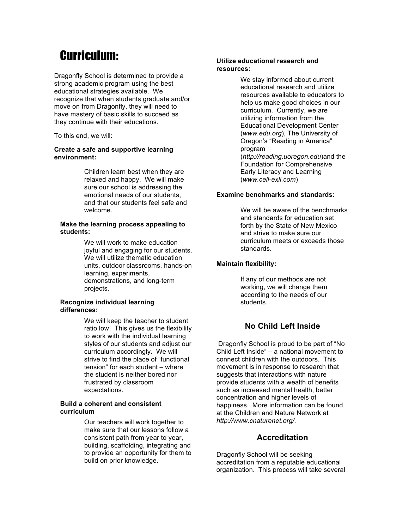## Curriculum:

Dragonfly School is determined to provide a strong academic program using the best educational strategies available. We recognize that when students graduate and/or move on from Dragonfly, they will need to have mastery of basic skills to succeed as they continue with their educations.

To this end, we will:

#### **Create a safe and supportive learning environment:**

Children learn best when they are relaxed and happy. We will make sure our school is addressing the emotional needs of our students, and that our students feel safe and welcome.

#### **Make the learning process appealing to students:**

We will work to make education joyful and engaging for our students. We will utilize thematic education units, outdoor classrooms, hands-on learning, experiments, demonstrations, and long-term projects.

#### **Recognize individual learning differences:**

We will keep the teacher to student ratio low. This gives us the flexibility to work with the individual learning styles of our students and adjust our curriculum accordingly. We will strive to find the place of "functional tension" for each student – where the student is neither bored nor frustrated by classroom expectations.

#### **Build a coherent and consistent curriculum**

Our teachers will work together to make sure that our lessons follow a consistent path from year to year, building, scaffolding, integrating and to provide an opportunity for them to build on prior knowledge.

#### **Utilize educational research and resources:**

We stay informed about current educational research and utilize resources available to educators to help us make good choices in our curriculum. Currently, we are utilizing information from the Educational Development Center (*www.edu.org*), The University of Oregon's "Reading in America" program (*http://reading.uoregon.edu*)and the Foundation for Comprehensive Early Literacy and Learning (*www.cell-exll.com*)

#### **Examine benchmarks and standards**:

We will be aware of the benchmarks and standards for education set forth by the State of New Mexico and strive to make sure our curriculum meets or exceeds those standards.

#### **Maintain flexibility:**

If any of our methods are not working, we will change them according to the needs of our students.

## **No Child Left Inside**

 Dragonfly School is proud to be part of "No Child Left Inside" – a national movement to connect children with the outdoors. This movement is in response to research that suggests that interactions with nature provide students with a wealth of benefits such as increased mental health, better concentration and higher levels of happiness. More information can be found at the Children and Nature Network at *http://www.cnaturenet.org/.*

#### **Accreditation**

Dragonfly School will be seeking accreditation from a reputable educational organization. This process will take several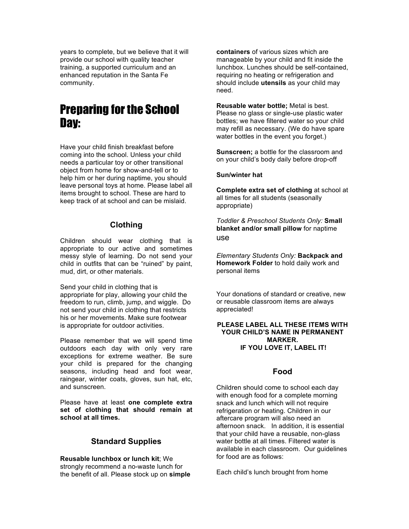years to complete, but we believe that it will provide our school with quality teacher training, a supported curriculum and an enhanced reputation in the Santa Fe community.

## Preparing for the School Day:

Have your child finish breakfast before coming into the school. Unless your child needs a particular toy or other transitional object from home for show-and-tell or to help him or her during naptime, you should leave personal toys at home. Please label all items brought to school. These are hard to keep track of at school and can be mislaid.

#### **Clothing**

Children should wear clothing that is appropriate to our active and sometimes messy style of learning. Do not send your child in outfits that can be "ruined" by paint, mud, dirt, or other materials.

Send your child in clothing that is appropriate for play, allowing your child the freedom to run, climb, jump, and wiggle. Do not send your child in clothing that restricts his or her movements. Make sure footwear is appropriate for outdoor activities.

Please remember that we will spend time outdoors each day with only very rare exceptions for extreme weather. Be sure your child is prepared for the changing seasons, including head and foot wear, raingear, winter coats, gloves, sun hat, etc, and sunscreen.

Please have at least **one complete extra set of clothing that should remain at school at all times.**

#### **Standard Supplies**

**Reusable lunchbox or lunch kit**; We strongly recommend a no-waste lunch for the benefit of all. Please stock up on **simple**  **containers** of various sizes which are manageable by your child and fit inside the lunchbox. Lunches should be self-contained, requiring no heating or refrigeration and should include **utensils** as your child may need.

**Reusable water bottle;** Metal is best. Please no glass or single-use plastic water bottles; we have filtered water so your child may refill as necessary. (We do have spare water bottles in the event you forget.)

**Sunscreen;** a bottle for the classroom and on your child's body daily before drop-off

#### **Sun/winter hat**

**Complete extra set of clothing** at school at all times for all students (seasonally appropriate)

*Toddler & Preschool Students Only:* **Small blanket and/or small pillow** for naptime use

*Elementary Students Only:* **Backpack and Homework Folder** to hold daily work and personal items

Your donations of standard or creative, new or reusable classroom items are always appreciated!

#### **PLEASE LABEL ALL THESE ITEMS WITH YOUR CHILD'S NAME IN PERMANENT MARKER. IF YOU LOVE IT, LABEL IT!**

#### **Food**

Children should come to school each day with enough food for a complete morning snack and lunch which will not require refrigeration or heating. Children in our aftercare program will also need an afternoon snack. In addition, it is essential that your child have a reusable, non-glass water bottle at all times. Filtered water is available in each classroom. Our guidelines for food are as follows:

Each child's lunch brought from home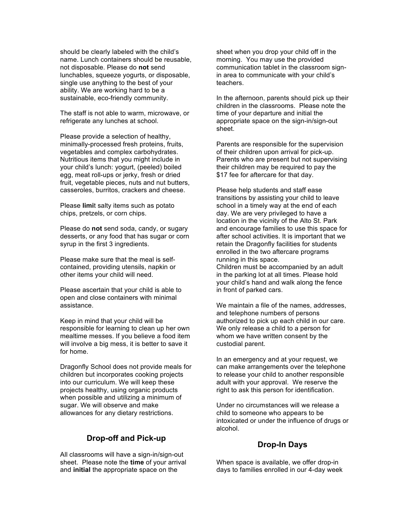should be clearly labeled with the child's name. Lunch containers should be reusable, not disposable. Please do **not** send lunchables, squeeze yogurts, or disposable, single use anything to the best of your ability. We are working hard to be a sustainable, eco-friendly community.

The staff is not able to warm, microwave, or refrigerate any lunches at school.

Please provide a selection of healthy, minimally-processed fresh proteins, fruits, vegetables and complex carbohydrates. Nutritious items that you might include in your child's lunch: yogurt, (peeled) boiled egg, meat roll-ups or jerky, fresh or dried fruit, vegetable pieces, nuts and nut butters, casseroles, burritos, crackers and cheese.

Please **limi**t salty items such as potato chips, pretzels, or corn chips.

Please do **not** send soda, candy, or sugary desserts, or any food that has sugar or corn syrup in the first 3 ingredients.

Please make sure that the meal is selfcontained, providing utensils, napkin or other items your child will need.

Please ascertain that your child is able to open and close containers with minimal assistance.

Keep in mind that your child will be responsible for learning to clean up her own mealtime messes. If you believe a food item will involve a big mess, it is better to save it for home.

Dragonfly School does not provide meals for children but incorporates cooking projects into our curriculum. We will keep these projects healthy, using organic products when possible and utilizing a minimum of sugar. We will observe and make allowances for any dietary restrictions.

#### **Drop-off and Pick-up**

All classrooms will have a sign-in/sign-out sheet. Please note the **time** of your arrival and **initial** the appropriate space on the

sheet when you drop your child off in the morning. You may use the provided communication tablet in the classroom signin area to communicate with your child's teachers.

In the afternoon, parents should pick up their children in the classrooms. Please note the time of your departure and initial the appropriate space on the sign-in/sign-out sheet.

Parents are responsible for the supervision of their children upon arrival for pick-up. Parents who are present but not supervising their children may be required to pay the \$17 fee for aftercare for that day.

Please help students and staff ease transitions by assisting your child to leave school in a timely way at the end of each day. We are very privileged to have a location in the vicinity of the Alto St. Park and encourage families to use this space for after school activities. It is important that we retain the Dragonfly facilities for students enrolled in the two aftercare programs running in this space.

Children must be accompanied by an adult in the parking lot at all times. Please hold your child's hand and walk along the fence in front of parked cars.

We maintain a file of the names, addresses, and telephone numbers of persons authorized to pick up each child in our care. We only release a child to a person for whom we have written consent by the custodial parent.

In an emergency and at your request, we can make arrangements over the telephone to release your child to another responsible adult with your approval. We reserve the right to ask this person for identification.

Under no circumstances will we release a child to someone who appears to be intoxicated or under the influence of drugs or alcohol.

## **Drop-In Days**

When space is available, we offer drop-in days to families enrolled in our 4-day week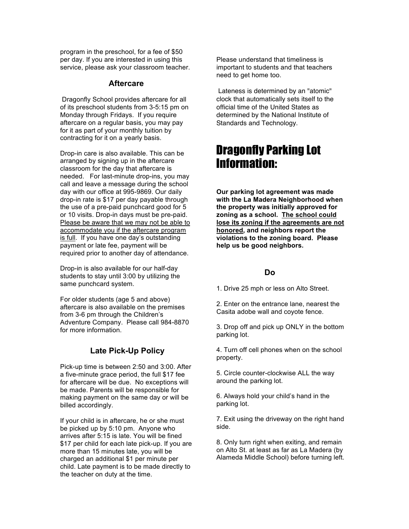program in the preschool, for a fee of \$50 per day. If you are interested in using this service, please ask your classroom teacher.

#### **Aftercare**

 Dragonfly School provides aftercare for all of its preschool students from 3-5:15 pm on Monday through Fridays. If you require aftercare on a regular basis, you may pay for it as part of your monthly tuition by contracting for it on a yearly basis.

Drop-in care is also available. This can be arranged by signing up in the aftercare classroom for the day that aftercare is needed. For last-minute drop-ins, you may call and leave a message during the school day with our office at 995-9869. Our daily drop-in rate is \$17 per day payable through the use of a pre-paid punchcard good for 5 or 10 visits. Drop-in days must be pre-paid. Please be aware that we may not be able to accommodate you if the aftercare program is full. If you have one day's outstanding payment or late fee, payment will be required prior to another day of attendance.

Drop-in is also available for our half-day students to stay until 3:00 by utilizing the same punchcard system.

For older students (age 5 and above) aftercare is also available on the premises from 3-6 pm through the Children's Adventure Company. Please call 984-8870 for more information.

### **Late Pick-Up Policy**

Pick-up time is between 2:50 and 3:00. After a five-minute grace period, the full \$17 fee for aftercare will be due. No exceptions will be made. Parents will be responsible for making payment on the same day or will be billed accordingly.

If your child is in aftercare, he or she must be picked up by 5:10 pm. Anyone who arrives after 5:15 is late. You will be fined \$17 per child for each late pick-up. If you are more than 15 minutes late, you will be charged an additional \$1 per minute per child. Late payment is to be made directly to the teacher on duty at the time.

Please understand that timeliness is important to students and that teachers need to get home too.

Lateness is determined by an "atomic" clock that automatically sets itself to the official time of the United States as determined by the National Institute of Standards and Technology.

## Dragonfly Parking Lot Information:

**Our parking lot agreement was made with the La Madera Neighborhood when the property was initially approved for zoning as a school. The school could lose its zoning if the agreements are not honored, and neighbors report the violations to the zoning board. Please help us be good neighbors.**

#### **Do**

1. Drive 25 mph or less on Alto Street.

2. Enter on the entrance lane, nearest the Casita adobe wall and coyote fence.

3. Drop off and pick up ONLY in the bottom parking lot.

4. Turn off cell phones when on the school property.

5. Circle counter-clockwise ALL the way around the parking lot.

6. Always hold your child's hand in the parking lot.

7. Exit using the driveway on the right hand side.

8. Only turn right when exiting, and remain on Alto St. at least as far as La Madera (by Alameda Middle School) before turning left.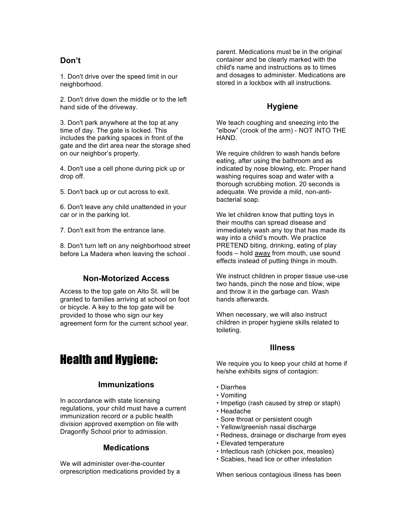## **Don't**

1. Don't drive over the speed limit in our neighborhood.

2. Don't drive down the middle or to the left hand side of the driveway.

3. Don't park anywhere at the top at any time of day. The gate is locked. This includes the parking spaces in front of the gate and the dirt area near the storage shed on our neighbor's property.

4. Don't use a cell phone during pick up or drop off.

5. Don't back up or cut across to exit.

6. Don't leave any child unattended in your car or in the parking lot.

7. Don't exit from the entrance lane.

8. Don't turn left on any neighborhood street before La Madera when leaving the school .

#### **Non-Motorized Access**

Access to the top gate on Alto St. will be granted to families arriving at school on foot or bicycle. A key to the top gate will be provided to those who sign our key agreement form for the current school year.

## Health and Hygiene:

#### **Immunizations**

In accordance with state licensing regulations, your child must have a current immunization record or a public health division approved exemption on file with Dragonfly School prior to admission.

#### **Medications**

We will administer over-the-counter orprescription medications provided by a parent. Medications must be in the original container and be clearly marked with the child's name and instructions as to times and dosages to administer. Medications are stored in a lockbox with all instructions.

### **Hygiene**

We teach coughing and sneezing into the "elbow" (crook of the arm) - NOT INTO THE HAND.

We require children to wash hands before eating, after using the bathroom and as indicated by nose blowing, etc. Proper hand washing requires soap and water with a thorough scrubbing motion. 20 seconds is adequate. We provide a mild, non-antibacterial soap.

We let children know that putting toys in their mouths can spread disease and immediately wash any toy that has made its way into a child's mouth. We practice PRETEND biting, drinking, eating of play foods – hold away from mouth, use sound effects instead of putting things in mouth.

We instruct children in proper tissue use-use two hands, pinch the nose and blow, wipe and throw it in the garbage can. Wash hands afterwards.

When necessary, we will also instruct children in proper hygiene skills related to toileting.

#### **Illness**

We require you to keep your child at home if he/she exhibits signs of contagion:

- Diarrhea
- Vomiting
- Impetigo (rash caused by strep or staph)
- Headache
- Sore throat or persistent cough
- Yellow/greenish nasal discharge
- Redness, drainage or discharge from eyes
- Elevated temperature
- Infectious rash (chicken pox, measles)
- Scabies, head lice or other infestation

When serious contagious illness has been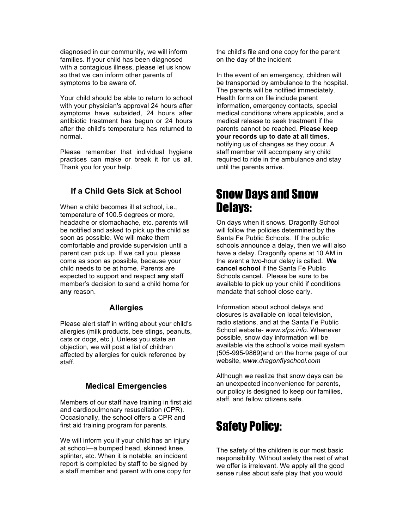diagnosed in our community, we will inform families. If your child has been diagnosed with a contagious illness, please let us know so that we can inform other parents of symptoms to be aware of.

Your child should be able to return to school with your physician's approval 24 hours after symptoms have subsided, 24 hours after antibiotic treatment has begun or 24 hours after the child's temperature has returned to normal.

Please remember that individual hygiene practices can make or break it for us all. Thank you for your help.

## **If a Child Gets Sick at School**

When a child becomes ill at school, *i.e.*, temperature of 100.5 degrees or more, headache or stomachache, etc. parents will be notified and asked to pick up the child as soon as possible. We will make them comfortable and provide supervision until a parent can pick up. If we call you, please come as soon as possible, because your child needs to be at home. Parents are expected to support and respect **any** staff member's decision to send a child home for **any** reason.

#### **Allergies**

Please alert staff in writing about your child's allergies (milk products, bee stings, peanuts, cats or dogs, etc.). Unless you state an objection, we will post a list of children affected by allergies for quick reference by staff.

## **Medical Emergencies**

Members of our staff have training in first aid and cardiopulmonary resuscitation (CPR). Occasionally, the school offers a CPR and first aid training program for parents.

We will inform you if your child has an injury at school—a bumped head, skinned knee, splinter, etc. When it is notable, an incident report is completed by staff to be signed by a staff member and parent with one copy for the child's file and one copy for the parent on the day of the incident

In the event of an emergency, children will be transported by ambulance to the hospital. The parents will be notified immediately. Health forms on file include parent information, emergency contacts, special medical conditions where applicable, and a medical release to seek treatment if the parents cannot be reached. **Please keep your records up to date at all times**, notifying us of changes as they occur. A staff member will accompany any child required to ride in the ambulance and stay until the parents arrive.

## Snow Days and Snow Delays:

On days when it snows, Dragonfly School will follow the policies determined by the Santa Fe Public Schools. If the public schools announce a delay, then we will also have a delay. Dragonfly opens at 10 AM in the event a two-hour delay is called. **We cancel school** if the Santa Fe Public Schools cancel. Please be sure to be available to pick up your child if conditions mandate that school close early.

Information about school delays and closures is available on local television, radio stations, and at the Santa Fe Public School website- *www.sfps.info*. Whenever possible, snow day information will be available via the school's voice mail system (505-995-9869)and on the home page of our website, *www.dragonflyschool.com*

Although we realize that snow days can be an unexpected inconvenience for parents, our policy is designed to keep our families, staff, and fellow citizens safe.

## Safety Policy:

The safety of the children is our most basic responsibility. Without safety the rest of what we offer is irrelevant. We apply all the good sense rules about safe play that you would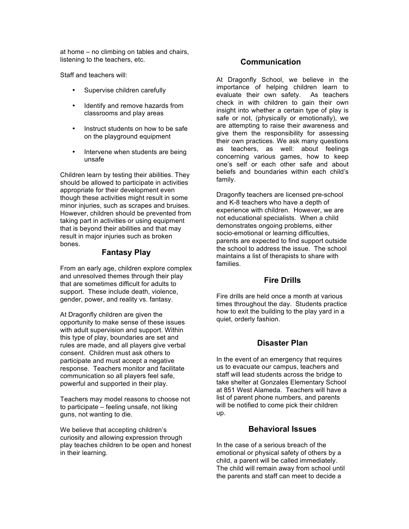at home – no climbing on tables and chairs, listening to the teachers, etc.

Staff and teachers will:

- Supervise children carefully
- Identify and remove hazards from classrooms and play areas
- Instruct students on how to be safe on the playground equipment
- Intervene when students are being unsafe

Children learn by testing their abilities. They should be allowed to participate in activities appropriate for their development even though these activities might result in some minor injuries, such as scrapes and bruises. However, children should be prevented from taking part in activities or using equipment that is beyond their abilities and that may result in major injuries such as broken bones.

#### **Fantasy Play**

From an early age, children explore complex and unresolved themes through their play that are sometimes difficult for adults to support. These include death, violence, gender, power, and reality vs. fantasy.

At Dragonfly children are given the opportunity to make sense of these issues with adult supervision and support. Within this type of play, boundaries are set and rules are made, and all players give verbal consent. Children must ask others to participate and must accept a negative response. Teachers monitor and facilitate communication so all players feel safe, powerful and supported in their play.

Teachers may model reasons to choose not to participate – feeling unsafe, not liking guns, not wanting to die.

We believe that accepting children's curiosity and allowing expression through play teaches children to be open and honest in their learning.

#### **Communication**

At Dragonfly School, we believe in the importance of helping children learn to evaluate their own safety. As teachers check in with children to gain their own insight into whether a certain type of play is safe or not, (physically or emotionally), we are attempting to raise their awareness and give them the responsibility for assessing their own practices. We ask many questions as teachers, as well: about feelings concerning various games, how to keep one's self or each other safe and about beliefs and boundaries within each child's family.

Dragonfly teachers are licensed pre-school and K-8 teachers who have a depth of experience with children. However, we are not educational specialists. When a child demonstrates ongoing problems, either socio-emotional or learning difficulties, parents are expected to find support outside the school to address the issue. The school maintains a list of therapists to share with families.

#### **Fire Drills**

Fire drills are held once a month at various times throughout the day. Students practice how to exit the building to the play yard in a quiet, orderly fashion.

#### **Disaster Plan**

In the event of an emergency that requires us to evacuate our campus, teachers and staff will lead students across the bridge to take shelter at Gonzales Elementary School at 851 West Alameda. Teachers will have a list of parent phone numbers, and parents will be notified to come pick their children up.

#### **Behavioral Issues**

In the case of a serious breach of the emotional or physical safety of others by a child, a parent will be called immediately. The child will remain away from school until the parents and staff can meet to decide a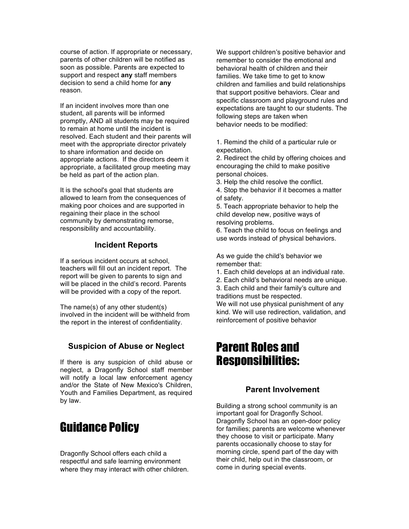course of action. If appropriate or necessary, parents of other children will be notified as soon as possible. Parents are expected to support and respect **any** staff members decision to send a child home for **any**  reason.

If an incident involves more than one student, all parents will be informed promptly, AND all students may be required to remain at home until the incident is resolved. Each student and their parents will meet with the appropriate director privately to share information and decide on appropriate actions. If the directors deem it appropriate, a facilitated group meeting may be held as part of the action plan.

It is the school's goal that students are allowed to learn from the consequences of making poor choices and are supported in regaining their place in the school community by demonstrating remorse, responsibility and accountability.

#### **Incident Reports**

If a serious incident occurs at school, teachers will fill out an incident report. The report will be given to parents to sign and will be placed in the child's record. Parents will be provided with a copy of the report.

The name(s) of any other student(s) involved in the incident will be withheld from the report in the interest of confidentiality.

#### **Suspicion of Abuse or Neglect**

If there is any suspicion of child abuse or neglect, a Dragonfly School staff member will notify a local law enforcement agency and/or the State of New Mexico's Children, Youth and Families Department, as required by law.

## Guidance Policy

Dragonfly School offers each child a respectful and safe learning environment where they may interact with other children. We support children's positive behavior and remember to consider the emotional and behavioral health of children and their families. We take time to get to know children and families and build relationships that support positive behaviors. Clear and specific classroom and playground rules and expectations are taught to our students. The following steps are taken when behavior needs to be modified:

1. Remind the child of a particular rule or expectation.

2. Redirect the child by offering choices and encouraging the child to make positive personal choices.

3. Help the child resolve the conflict.

4. Stop the behavior if it becomes a matter of safety.

5. Teach appropriate behavior to help the child develop new, positive ways of resolving problems.

6. Teach the child to focus on feelings and use words instead of physical behaviors.

As we guide the child's behavior we remember that:

- 1. Each child develops at an individual rate.
- 2. Each child's behavioral needs are unique. 3. Each child and their family's culture and traditions must be respected.

We will not use physical punishment of any kind. We will use redirection, validation, and reinforcement of positive behavior

## Parent Roles and Responsibilities:

#### **Parent Involvement**

Building a strong school community is an important goal for Dragonfly School. Dragonfly School has an open-door policy for families; parents are welcome whenever they choose to visit or participate. Many parents occasionally choose to stay for morning circle, spend part of the day with their child, help out in the classroom, or come in during special events.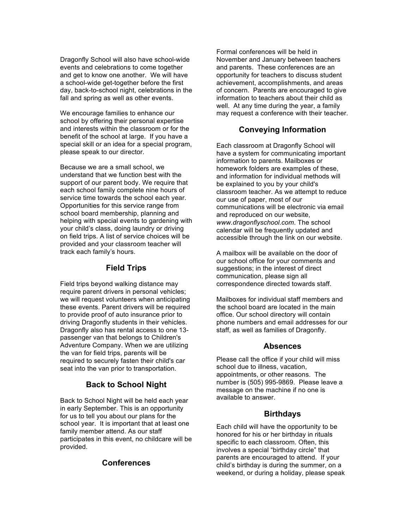Dragonfly School will also have school-wide events and celebrations to come together and get to know one another. We will have a school-wide get-together before the first day, back-to-school night, celebrations in the fall and spring as well as other events.

We encourage families to enhance our school by offering their personal expertise and interests within the classroom or for the benefit of the school at large. If you have a special skill or an idea for a special program, please speak to our director.

Because we are a small school, we understand that we function best with the support of our parent body. We require that each school family complete nine hours of service time towards the school each year. Opportunities for this service range from school board membership, planning and helping with special events to gardening with your child's class, doing laundry or driving on field trips. A list of service choices will be provided and your classroom teacher will track each family's hours.

### **Field Trips**

Field trips beyond walking distance may require parent drivers in personal vehicles; we will request volunteers when anticipating these events. Parent drivers will be required to provide proof of auto insurance prior to driving Dragonfly students in their vehicles. Dragonfly also has rental access to one 13 passenger van that belongs to Children's Adventure Company. When we are utilizing the van for field trips, parents will be required to securely fasten their child's car seat into the van prior to transportation.

#### **Back to School Night**

Back to School Night will be held each year in early September. This is an opportunity for us to tell you about our plans for the school year. It is important that at least one family member attend. As our staff participates in this event, no childcare will be provided.

#### **Conferences**

Formal conferences will be held in November and January between teachers and parents. These conferences are an opportunity for teachers to discuss student achievement, accomplishments, and areas of concern. Parents are encouraged to give information to teachers about their child as well. At any time during the year, a family may request a conference with their teacher.

### **Conveying Information**

Each classroom at Dragonfly School will have a system for communicating important information to parents. Mailboxes or homework folders are examples of these, and information for individual methods will be explained to you by your child's classroom teacher. As we attempt to reduce our use of paper, most of our communications will be electronic via email and reproduced on our website, *www.dragonflyschool.com*. The school calendar will be frequently updated and accessible through the link on our website.

A mailbox will be available on the door of our school office for your comments and suggestions; in the interest of direct communication, please sign all correspondence directed towards staff.

Mailboxes for individual staff members and the school board are located in the main office. Our school directory will contain phone numbers and email addresses for our staff, as well as families of Dragonfly.

#### **Absences**

Please call the office if your child will miss school due to illness, vacation, appointments, or other reasons. The number is (505) 995-9869. Please leave a message on the machine if no one is available to answer.

#### **Birthdays**

Each child will have the opportunity to be honored for his or her birthday in rituals specific to each classroom. Often, this involves a special "birthday circle" that parents are encouraged to attend. If your child's birthday is during the summer, on a weekend, or during a holiday, please speak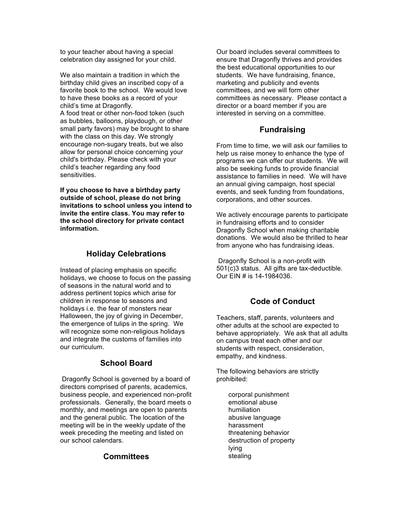to your teacher about having a special celebration day assigned for your child.

We also maintain a tradition in which the birthday child gives an inscribed copy of a favorite book to the school. We would love to have these books as a record of your child's time at Dragonfly.

A food treat or other non-food token (such as bubbles, balloons, playdough, or other small party favors) may be brought to share with the class on this day. We strongly encourage non-sugary treats, but we also allow for personal choice concerning your child's birthday. Please check with your child's teacher regarding any food sensitivities.

**If you choose to have a birthday party outside of school, please do not bring invitations to school unless you intend to invite the entire class. You may refer to the school directory for private contact information.**

## **Holiday Celebrations**

Instead of placing emphasis on specific holidays, we choose to focus on the passing of seasons in the natural world and to address pertinent topics which arise for children in response to seasons and holidays i.e. the fear of monsters near Halloween, the joy of giving in December, the emergence of tulips in the spring. We will recognize some non-religious holidays and integrate the customs of families into our curriculum.

## **School Board**

 Dragonfly School is governed by a board of directors comprised of parents, academics, business people, and experienced non-profit professionals. Generally, the board meets o monthly, and meetings are open to parents and the general public. The location of the meeting will be in the weekly update of the week preceding the meeting and listed on our school calendars.

## **Committees**

Our board includes several committees to ensure that Dragonfly thrives and provides the best educational opportunities to our students. We have fundraising, finance, marketing and publicity and events committees, and we will form other committees as necessary. Please contact a director or a board member if you are interested in serving on a committee.

## **Fundraising**

From time to time, we will ask our families to help us raise money to enhance the type of programs we can offer our students. We will also be seeking funds to provide financial assistance to families in need. We will have an annual giving campaign, host special events, and seek funding from foundations, corporations, and other sources.

We actively encourage parents to participate in fundraising efforts and to consider Dragonfly School when making charitable donations. We would also be thrilled to hear from anyone who has fundraising ideas.

 Dragonfly School is a non-profit with 501(c)3 status. All gifts are tax-deductible. Our EIN # is 14-1984036.

## **Code of Conduct**

Teachers, staff, parents, volunteers and other adults at the school are expected to behave appropriately. We ask that all adults on campus treat each other and our students with respect, consideration, empathy, and kindness.

The following behaviors are strictly prohibited:

> corporal punishment emotional abuse humiliation abusive language harassment threatening behavior destruction of property lying stealing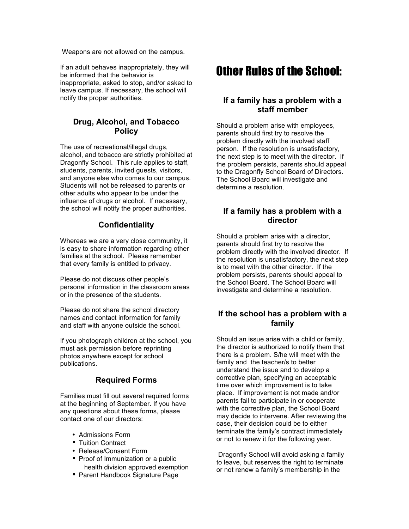Weapons are not allowed on the campus.

If an adult behaves inappropriately, they will be informed that the behavior is inappropriate, asked to stop, and/or asked to leave campus. If necessary, the school will notify the proper authorities.

### **Drug, Alcohol, and Tobacco Policy**

The use of recreational/illegal drugs, alcohol, and tobacco are strictly prohibited at Dragonfly School. This rule applies to staff, students, parents, invited guests, visitors, and anyone else who comes to our campus. Students will not be released to parents or other adults who appear to be under the influence of drugs or alcohol. If necessary, the school will notify the proper authorities.

## **Confidentiality**

Whereas we are a very close community, it is easy to share information regarding other families at the school. Please remember that every family is entitled to privacy.

Please do not discuss other people's personal information in the classroom areas or in the presence of the students.

Please do not share the school directory names and contact information for family and staff with anyone outside the school.

If you photograph children at the school, you must ask permission before reprinting photos anywhere except for school publications.

## **Required Forms**

Families must fill out several required forms at the beginning of September. If you have any questions about these forms, please contact one of our directors:

- Admissions Form
- Tuition Contract
- Release/Consent Form
- Proof of Immunization or a public health division approved exemption
- Parent Handbook Signature Page

# Other Rules of the School:

### **If a family has a problem with a staff member**

Should a problem arise with employees, parents should first try to resolve the problem directly with the involved staff person. If the resolution is unsatisfactory, the next step is to meet with the director. If the problem persists, parents should appeal to the Dragonfly School Board of Directors. The School Board will investigate and determine a resolution.

## **If a family has a problem with a director**

Should a problem arise with a director, parents should first try to resolve the problem directly with the involved director. If the resolution is unsatisfactory, the next step is to meet with the other director. If the problem persists, parents should appeal to the School Board. The School Board will investigate and determine a resolution.

## **If the school has a problem with a family**

Should an issue arise with a child or family, the director is authorized to notify them that there is a problem. S/he will meet with the family and the teacher/s to better understand the issue and to develop a corrective plan, specifying an acceptable time over which improvement is to take place. If improvement is not made and/or parents fail to participate in or cooperate with the corrective plan, the School Board may decide to intervene. After reviewing the case, their decision could be to either terminate the family's contract immediately or not to renew it for the following year.

 Dragonfly School will avoid asking a family to leave, but reserves the right to terminate or not renew a family's membership in the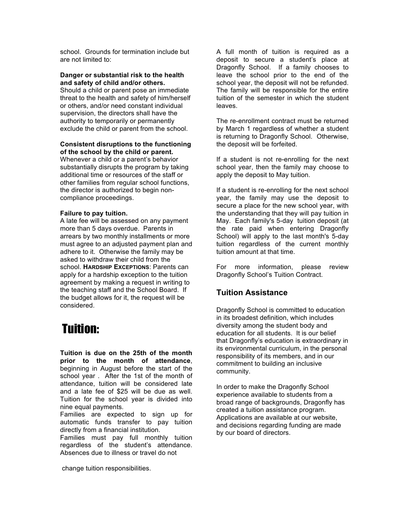school. Grounds for termination include but are not limited to:

#### **Danger or substantial risk to the health and safety of child and/or others.**

Should a child or parent pose an immediate threat to the health and safety of him/herself or others, and/or need constant individual supervision, the directors shall have the authority to temporarily or permanently exclude the child or parent from the school.

### **Consistent disruptions to the functioning**

**of the school by the child or parent.** Whenever a child or a parent's behavior substantially disrupts the program by taking additional time or resources of the staff or other families from regular school functions, the director is authorized to begin noncompliance proceedings.

#### **Failure to pay tuition.**

A late fee will be assessed on any payment more than 5 days overdue. Parents in arrears by two monthly installments or more must agree to an adjusted payment plan and adhere to it. Otherwise the family may be asked to withdraw their child from the school. **HARDSHIP EXCEPTIONS**: Parents can apply for a hardship exception to the tuition agreement by making a request in writing to the teaching staff and the School Board. If the budget allows for it, the request will be considered.

## Tuition:

**Tuition is due on the 25th of the month prior to the month of attendance**, beginning in August before the start of the school year . After the 1st of the month of attendance, tuition will be considered late and a late fee of \$25 will be due as well. Tuition for the school year is divided into nine equal payments.

Families are expected to sign up for automatic funds transfer to pay tuition directly from a financial institution.

Families must pay full monthly tuition regardless of the student's attendance. Absences due to illness or travel do not

change tuition responsibilities.

A full month of tuition is required as a deposit to secure a student's place at Dragonfly School. If a family chooses to leave the school prior to the end of the school year, the deposit will not be refunded. The family will be responsible for the entire tuition of the semester in which the student leaves.

The re-enrollment contract must be returned by March 1 regardless of whether a student is returning to Dragonfly School. Otherwise, the deposit will be forfeited.

If a student is not re-enrolling for the next school year, then the family may choose to apply the deposit to May tuition.

If a student is re-enrolling for the next school year, the family may use the deposit to secure a place for the new school year, with the understanding that they will pay tuition in May. Each family's 5-day tuition deposit (at the rate paid when entering Dragonfly School) will apply to the last month's 5-day tuition regardless of the current monthly tuition amount at that time.

For more information, please review Dragonfly School's Tuition Contract.

## **Tuition Assistance**

Dragonfly School is committed to education in its broadest definition, which includes diversity among the student body and education for all students. It is our belief that Dragonfly's education is extraordinary in its environmental curriculum, in the personal responsibility of its members, and in our commitment to building an inclusive community.

In order to make the Dragonfly School experience available to students from a broad range of backgrounds, Dragonfly has created a tuition assistance program. Applications are available at our website, and decisions regarding funding are made by our board of directors.